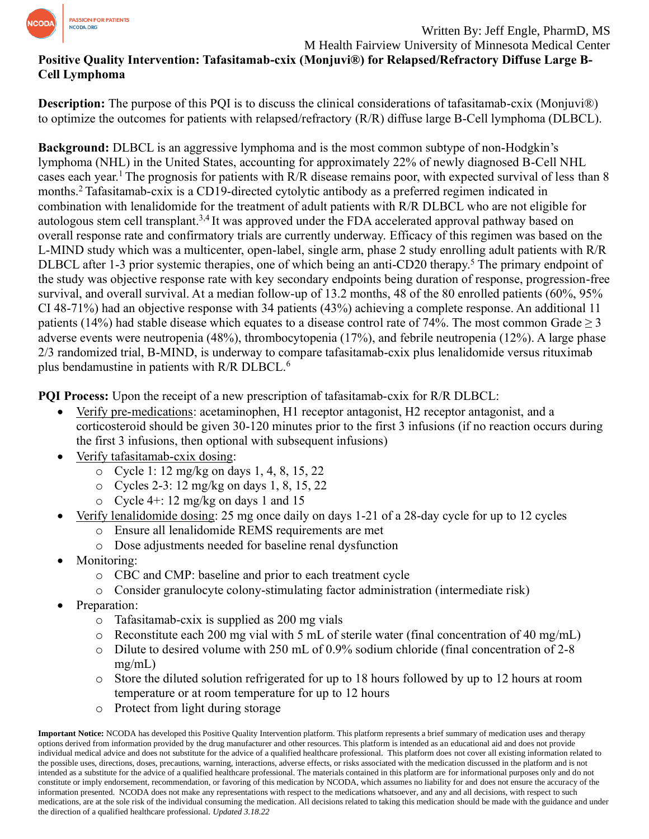

Written By: Jeff Engle, PharmD, MS M Health Fairview University of Minnesota Medical Center

# **Positive Quality Intervention: Tafasitamab-cxix (Monjuvi®) for Relapsed/Refractory Diffuse Large B-Cell Lymphoma**

**Description:** The purpose of this PQI is to discuss the clinical considerations of tafasitamab-cxix (Monjuvi®) to optimize the outcomes for patients with relapsed/refractory (R/R) diffuse large B-Cell lymphoma (DLBCL).

**Background:** DLBCL is an aggressive lymphoma and is the most common subtype of non-Hodgkin's lymphoma (NHL) in the United States, accounting for approximately 22% of newly diagnosed B-Cell NHL cases each year.<sup>1</sup> The prognosis for patients with R/R disease remains poor, with expected survival of less than 8 months.<sup>2</sup>Tafasitamab-cxix is a CD19-directed cytolytic antibody as a preferred regimen indicated in combination with lenalidomide for the treatment of adult patients with R/R DLBCL who are not eligible for autologous stem cell transplant.<sup>3,4</sup> It was approved under the FDA accelerated approval pathway based on overall response rate and confirmatory trials are currently underway. Efficacy of this regimen was based on the L-MIND study which was a multicenter, open-label, single arm, phase 2 study enrolling adult patients with R/R DLBCL after 1-3 prior systemic therapies, one of which being an anti-CD20 therapy.<sup>5</sup> The primary endpoint of the study was objective response rate with key secondary endpoints being duration of response, progression-free survival, and overall survival. At a median follow-up of 13.2 months, 48 of the 80 enrolled patients (60%, 95% CI 48-71%) had an objective response with 34 patients (43%) achieving a complete response. An additional 11 patients (14%) had stable disease which equates to a disease control rate of 74%. The most common Grade  $\geq$  3 adverse events were neutropenia (48%), thrombocytopenia (17%), and febrile neutropenia (12%). A large phase 2/3 randomized trial, B-MIND, is underway to compare tafasitamab-cxix plus lenalidomide versus rituximab plus bendamustine in patients with R/R DLBCL.<sup>6</sup>

**PQI Process:** Upon the receipt of a new prescription of tafasitamab-cxix for R/R DLBCL:

- Verify pre-medications: acetaminophen, H1 receptor antagonist, H2 receptor antagonist, and a corticosteroid should be given 30-120 minutes prior to the first 3 infusions (if no reaction occurs during the first 3 infusions, then optional with subsequent infusions)
- Verify tafasitamab-cxix dosing:
	- o Cycle 1: 12 mg/kg on days 1, 4, 8, 15, 22
	- o Cycles 2-3: 12 mg/kg on days 1, 8, 15, 22
	- o Cycle 4+: 12 mg/kg on days 1 and 15
- Verify lenalidomide dosing: 25 mg once daily on days 1-21 of a 28-day cycle for up to 12 cycles
	- o Ensure all lenalidomide REMS requirements are met
	- o Dose adjustments needed for baseline renal dysfunction
- Monitoring:
	- o CBC and CMP: baseline and prior to each treatment cycle
	- o Consider granulocyte colony-stimulating factor administration (intermediate risk)
- Preparation:
	- o Tafasitamab-cxix is supplied as 200 mg vials
	- o Reconstitute each 200 mg vial with 5 mL of sterile water (final concentration of 40 mg/mL)
	- o Dilute to desired volume with 250 mL of 0.9% sodium chloride (final concentration of 2-8 mg/mL)
	- o Store the diluted solution refrigerated for up to 18 hours followed by up to 12 hours at room temperature or at room temperature for up to 12 hours
	- o Protect from light during storage

**Important Notice:** NCODA has developed this Positive Quality Intervention platform. This platform represents a brief summary of medication uses and therapy options derived from information provided by the drug manufacturer and other resources. This platform is intended as an educational aid and does not provide individual medical advice and does not substitute for the advice of a qualified healthcare professional. This platform does not cover all existing information related to the possible uses, directions, doses, precautions, warning, interactions, adverse effects, or risks associated with the medication discussed in the platform and is not intended as a substitute for the advice of a qualified healthcare professional. The materials contained in this platform are for informational purposes only and do not constitute or imply endorsement, recommendation, or favoring of this medication by NCODA, which assumes no liability for and does not ensure the accuracy of the information presented. NCODA does not make any representations with respect to the medications whatsoever, and any and all decisions, with respect to such medications, are at the sole risk of the individual consuming the medication. All decisions related to taking this medication should be made with the guidance and under the direction of a qualified healthcare professional. *Updated 3.18.22*